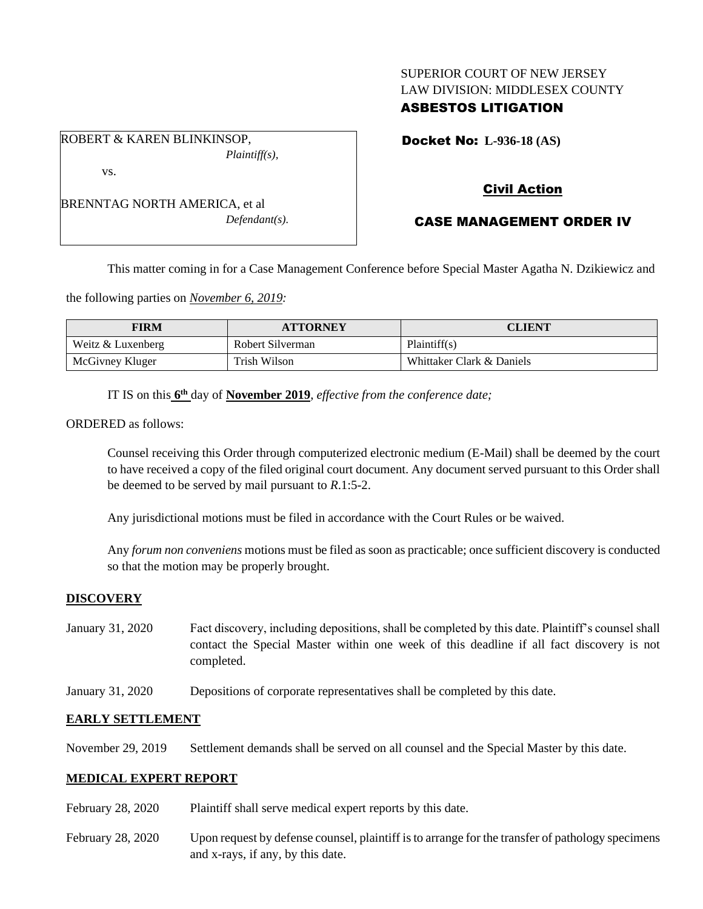# SUPERIOR COURT OF NEW JERSEY LAW DIVISION: MIDDLESEX COUNTY

# ASBESTOS LITIGATION

ROBERT & KAREN BLINKINSOP, *Plaintiff(s),* vs.

BRENNTAG NORTH AMERICA, et al *Defendant(s).* Docket No: **L-936-18 (AS)** 

# Civil Action

# CASE MANAGEMENT ORDER IV

This matter coming in for a Case Management Conference before Special Master Agatha N. Dzikiewicz and

the following parties on *November 6, 2019:*

| FIRM              | <b>ATTORNEY</b>  | <b>CLIENT</b>             |
|-------------------|------------------|---------------------------|
| Weitz & Luxenberg | Robert Silverman | Plaintiff(s)              |
| McGivney Kluger   | Trish Wilson     | Whittaker Clark & Daniels |

IT IS on this **6 th** day of **November 2019**, *effective from the conference date;*

ORDERED as follows:

Counsel receiving this Order through computerized electronic medium (E-Mail) shall be deemed by the court to have received a copy of the filed original court document. Any document served pursuant to this Order shall be deemed to be served by mail pursuant to *R*.1:5-2.

Any jurisdictional motions must be filed in accordance with the Court Rules or be waived.

Any *forum non conveniens* motions must be filed as soon as practicable; once sufficient discovery is conducted so that the motion may be properly brought.

# **DISCOVERY**

- January 31, 2020 Fact discovery, including depositions, shall be completed by this date. Plaintiff's counsel shall contact the Special Master within one week of this deadline if all fact discovery is not completed.
- January 31, 2020 Depositions of corporate representatives shall be completed by this date.

# **EARLY SETTLEMENT**

November 29, 2019 Settlement demands shall be served on all counsel and the Special Master by this date.

# **MEDICAL EXPERT REPORT**

- February 28, 2020 Plaintiff shall serve medical expert reports by this date.
- February 28, 2020 Upon request by defense counsel, plaintiff is to arrange for the transfer of pathology specimens and x-rays, if any, by this date.